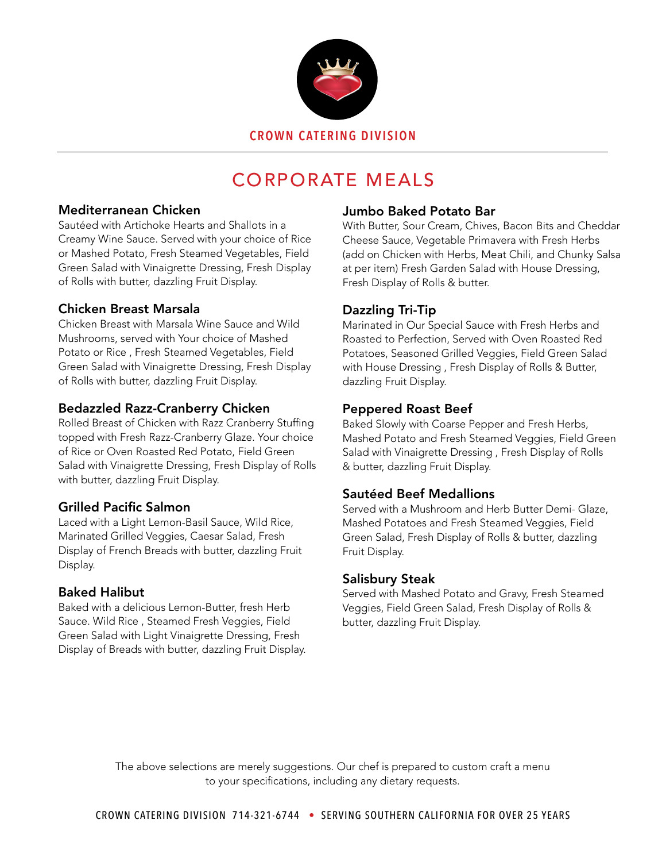

# CORPORATE MEALS

### Mediterranean Chicken

Sautéed with Artichoke Hearts and Shallots in a Creamy Wine Sauce. Served with your choice of Rice or Mashed Potato, Fresh Steamed Vegetables, Field Green Salad with Vinaigrette Dressing, Fresh Display of Rolls with butter, dazzling Fruit Display.

### Chicken Breast Marsala

Chicken Breast with Marsala Wine Sauce and Wild Mushrooms, served with Your choice of Mashed Potato or Rice , Fresh Steamed Vegetables, Field Green Salad with Vinaigrette Dressing, Fresh Display of Rolls with butter, dazzling Fruit Display.

# Bedazzled Razz-Cranberry Chicken

Rolled Breast of Chicken with Razz Cranberry Stuffing topped with Fresh Razz-Cranberry Glaze. Your choice of Rice or Oven Roasted Red Potato, Field Green Salad with Vinaigrette Dressing, Fresh Display of Rolls with butter, dazzling Fruit Display.

# Grilled Pacific Salmon

Laced with a Light Lemon-Basil Sauce, Wild Rice, Marinated Grilled Veggies, Caesar Salad, Fresh Display of French Breads with butter, dazzling Fruit Display.

# Baked Halibut

Baked with a delicious Lemon-Butter, fresh Herb Sauce. Wild Rice , Steamed Fresh Veggies, Field Green Salad with Light Vinaigrette Dressing, Fresh Display of Breads with butter, dazzling Fruit Display.

# Jumbo Baked Potato Bar

With Butter, Sour Cream, Chives, Bacon Bits and Cheddar Cheese Sauce, Vegetable Primavera with Fresh Herbs (add on Chicken with Herbs, Meat Chili, and Chunky Salsa at per item) Fresh Garden Salad with House Dressing, Fresh Display of Rolls & butter.

# Dazzling Tri-Tip

Marinated in Our Special Sauce with Fresh Herbs and Roasted to Perfection, Served with Oven Roasted Red Potatoes, Seasoned Grilled Veggies, Field Green Salad with House Dressing , Fresh Display of Rolls & Butter, dazzling Fruit Display.

### Peppered Roast Beef

Baked Slowly with Coarse Pepper and Fresh Herbs, Mashed Potato and Fresh Steamed Veggies, Field Green Salad with Vinaigrette Dressing , Fresh Display of Rolls & butter, dazzling Fruit Display.

# Sautéed Beef Medallions

Served with a Mushroom and Herb Butter Demi- Glaze, Mashed Potatoes and Fresh Steamed Veggies, Field Green Salad, Fresh Display of Rolls & butter, dazzling Fruit Display.

#### Salisbury Steak

Served with Mashed Potato and Gravy, Fresh Steamed Veggies, Field Green Salad, Fresh Display of Rolls & butter, dazzling Fruit Display.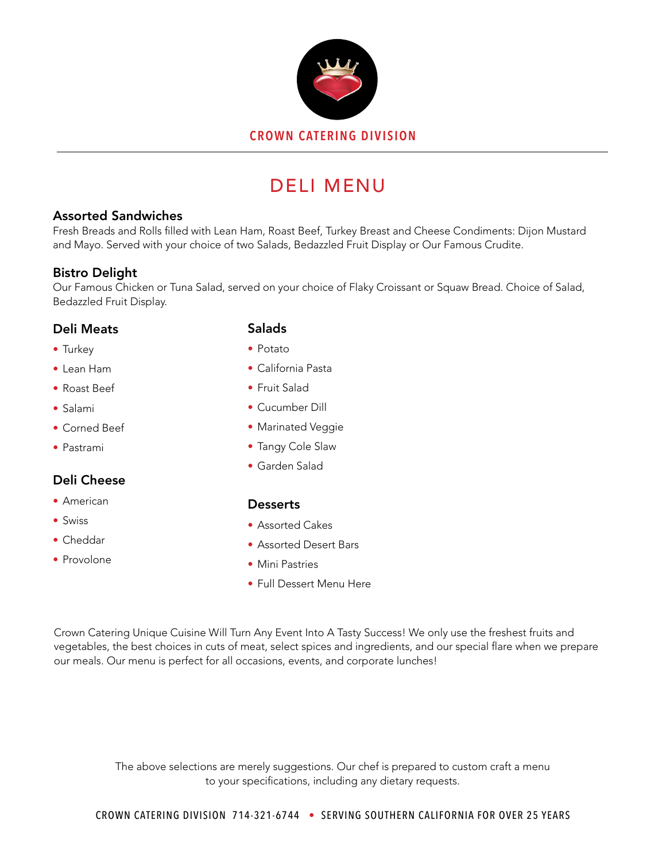

# DELI MENU

#### Assorted Sandwiches

Fresh Breads and Rolls filled with Lean Ham, Roast Beef, Turkey Breast and Cheese Condiments: Dijon Mustard and Mayo. Served with your choice of two Salads, Bedazzled Fruit Display or Our Famous Crudite.

# Bistro Delight

Our Famous Chicken or Tuna Salad, served on your choice of Flaky Croissant or Squaw Bread. Choice of Salad, Bedazzled Fruit Display.

### Deli Meats

- Turkey
- Lean Ham
- Roast Beef
- Salami
- Corned Beef
- Pastrami

# Deli Cheese

- American
- Swiss
- Cheddar
- Provolone

# **Salads**

- Potato
- California Pasta
- Fruit Salad
- Cucumber Dill
- Marinated Veggie
- Tangy Cole Slaw
- Garden Salad

# **Desserts**

- Assorted Cakes
- Assorted Desert Bars
- Mini Pastries
- Full Dessert Menu Here

Crown Catering Unique Cuisine Will Turn Any Event Into A Tasty Success! We only use the freshest fruits and vegetables, the best choices in cuts of meat, select spices and ingredients, and our special flare when we prepare our meals. Our menu is perfect for all occasions, events, and corporate lunches!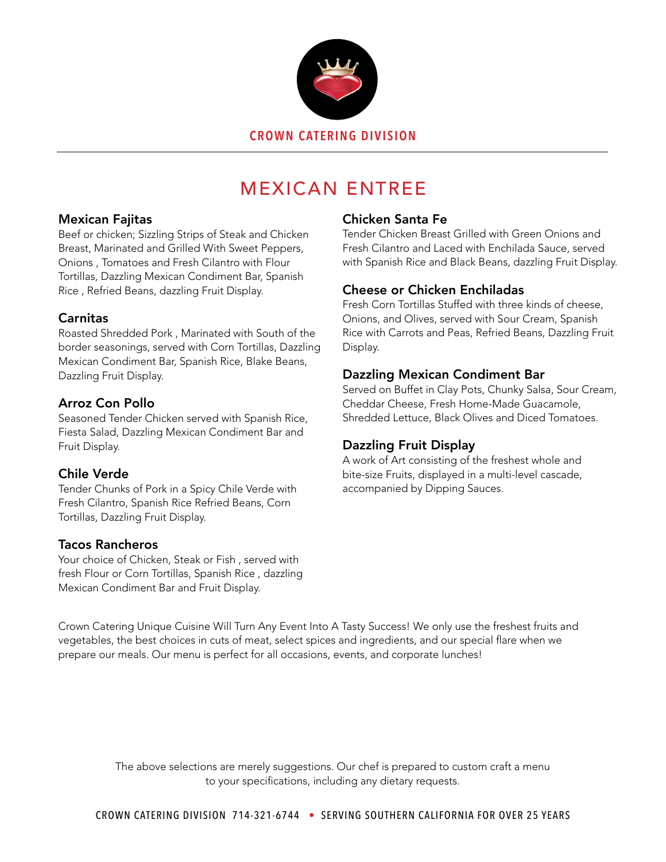

# MEXICAN ENTREE

#### Mexican Fajitas

Beef or chicken; Sizzling Strips of Steak and Chicken Breast, Marinated and Grilled With Sweet Peppers, Onions , Tomatoes and Fresh Cilantro with Flour Tortillas, Dazzling Mexican Condiment Bar, Spanish Rice , Refried Beans, dazzling Fruit Display.

### Carnitas

Roasted Shredded Pork , Marinated with South of the border seasonings, served with Corn Tortillas, Dazzling Mexican Condiment Bar, Spanish Rice, Blake Beans, Dazzling Fruit Display.

# Arroz Con Pollo

Seasoned Tender Chicken served with Spanish Rice, Fiesta Salad, Dazzling Mexican Condiment Bar and Fruit Display.

# Chile Verde

Tender Chunks of Pork in a Spicy Chile Verde with Fresh Cilantro, Spanish Rice Refried Beans, Corn Tortillas, Dazzling Fruit Display.

# Tacos Rancheros

Your choice of Chicken, Steak or Fish , served with fresh Flour or Corn Tortillas, Spanish Rice , dazzling Mexican Condiment Bar and Fruit Display.

# Chicken Santa Fe

Tender Chicken Breast Grilled with Green Onions and Fresh Cilantro and Laced with Enchilada Sauce, served with Spanish Rice and Black Beans, dazzling Fruit Display.

# Cheese or Chicken Enchiladas

Fresh Corn Tortillas Stuffed with three kinds of cheese, Onions, and Olives, served with Sour Cream, Spanish Rice with Carrots and Peas, Refried Beans, Dazzling Fruit Display.

# Dazzling Mexican Condiment Bar

Served on Buffet in Clay Pots, Chunky Salsa, Sour Cream, Cheddar Cheese, Fresh Home-Made Guacamole, Shredded Lettuce, Black Olives and Diced Tomatoes.

# Dazzling Fruit Display

A work of Art consisting of the freshest whole and bite-size Fruits, displayed in a multi-level cascade, accompanied by Dipping Sauces.

Crown Catering Unique Cuisine Will Turn Any Event Into A Tasty Success! We only use the freshest fruits and vegetables, the best choices in cuts of meat, select spices and ingredients, and our special flare when we prepare our meals. Our menu is perfect for all occasions, events, and corporate lunches!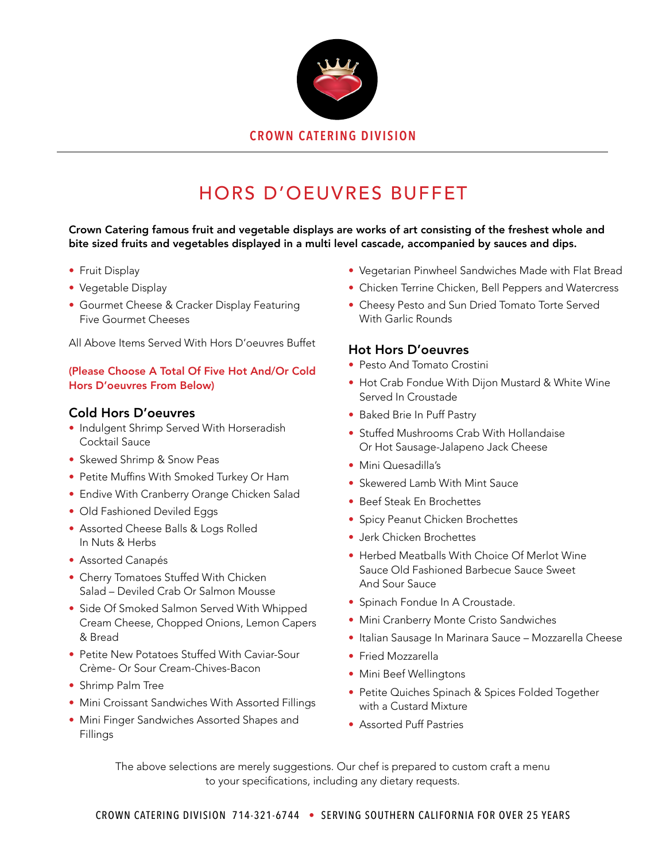

# HORS D'OEUVRES BUFFET

Crown Catering famous fruit and vegetable displays are works of art consisting of the freshest whole and bite sized fruits and vegetables displayed in a multi level cascade, accompanied by sauces and dips.

- Fruit Display
- Vegetable Display
- Gourmet Cheese & Cracker Display Featuring Five Gourmet Cheeses

All Above Items Served With Hors D'oeuvres Buffet

#### (Please Choose A Total Of Five Hot And/Or Cold Hors D'oeuvres From Below)

#### Cold Hors D'oeuvres

- Indulgent Shrimp Served With Horseradish Cocktail Sauce
- Skewed Shrimp & Snow Peas
- Petite Muffins With Smoked Turkey Or Ham
- Endive With Cranberry Orange Chicken Salad
- Old Fashioned Deviled Eggs
- Assorted Cheese Balls & Logs Rolled In Nuts & Herbs
- Assorted Canapés
- Cherry Tomatoes Stuffed With Chicken Salad – Deviled Crab Or Salmon Mousse
- Side Of Smoked Salmon Served With Whipped Cream Cheese, Chopped Onions, Lemon Capers & Bread
- Petite New Potatoes Stuffed With Caviar-Sour Crème- Or Sour Cream-Chives-Bacon
- Shrimp Palm Tree
- Mini Croissant Sandwiches With Assorted Fillings
- Mini Finger Sandwiches Assorted Shapes and Fillings
- Vegetarian Pinwheel Sandwiches Made with Flat Bread
- Chicken Terrine Chicken, Bell Peppers and Watercress
- Cheesy Pesto and Sun Dried Tomato Torte Served With Garlic Rounds

#### Hot Hors D'oeuvres

- Pesto And Tomato Crostini
- Hot Crab Fondue With Dijon Mustard & White Wine Served In Croustade
- Baked Brie In Puff Pastry
- Stuffed Mushrooms Crab With Hollandaise Or Hot Sausage-Jalapeno Jack Cheese
- Mini Quesadilla's
- Skewered Lamb With Mint Sauce
- Beef Steak En Brochettes
- Spicy Peanut Chicken Brochettes
- Jerk Chicken Brochettes
- Herbed Meatballs With Choice Of Merlot Wine Sauce Old Fashioned Barbecue Sauce Sweet And Sour Sauce
- Spinach Fondue In A Croustade.
- Mini Cranberry Monte Cristo Sandwiches
- Italian Sausage In Marinara Sauce Mozzarella Cheese
- Fried Mozzarella
- Mini Beef Wellingtons
- Petite Quiches Spinach & Spices Folded Together with a Custard Mixture
- Assorted Puff Pastries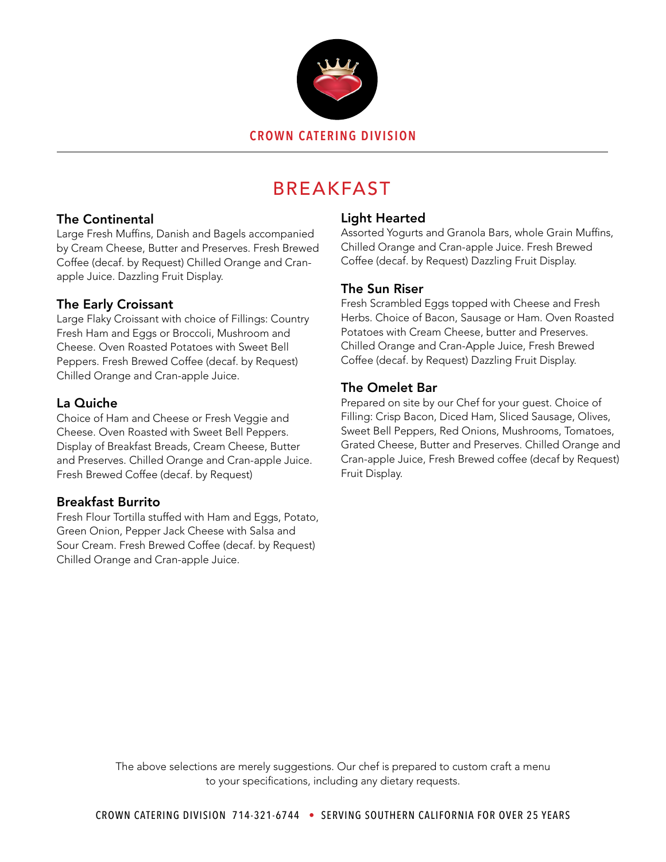

# BREAKFAST

# The Continental

Large Fresh Muffins, Danish and Bagels accompanied by Cream Cheese, Butter and Preserves. Fresh Brewed Coffee (decaf. by Request) Chilled Orange and Cranapple Juice. Dazzling Fruit Display.

# The Early Croissant

Large Flaky Croissant with choice of Fillings: Country Fresh Ham and Eggs or Broccoli, Mushroom and Cheese. Oven Roasted Potatoes with Sweet Bell Peppers. Fresh Brewed Coffee (decaf. by Request) Chilled Orange and Cran-apple Juice.

# La Quiche

Choice of Ham and Cheese or Fresh Veggie and Cheese. Oven Roasted with Sweet Bell Peppers. Display of Breakfast Breads, Cream Cheese, Butter and Preserves. Chilled Orange and Cran-apple Juice. Fresh Brewed Coffee (decaf. by Request)

# Breakfast Burrito

Fresh Flour Tortilla stuffed with Ham and Eggs, Potato, Green Onion, Pepper Jack Cheese with Salsa and Sour Cream. Fresh Brewed Coffee (decaf. by Request) Chilled Orange and Cran-apple Juice.

# Light Hearted

Assorted Yogurts and Granola Bars, whole Grain Muffins, Chilled Orange and Cran-apple Juice. Fresh Brewed Coffee (decaf. by Request) Dazzling Fruit Display.

#### The Sun Riser

Fresh Scrambled Eggs topped with Cheese and Fresh Herbs. Choice of Bacon, Sausage or Ham. Oven Roasted Potatoes with Cream Cheese, butter and Preserves. Chilled Orange and Cran-Apple Juice, Fresh Brewed Coffee (decaf. by Request) Dazzling Fruit Display.

### The Omelet Bar

Prepared on site by our Chef for your guest. Choice of Filling: Crisp Bacon, Diced Ham, Sliced Sausage, Olives, Sweet Bell Peppers, Red Onions, Mushrooms, Tomatoes, Grated Cheese, Butter and Preserves. Chilled Orange and Cran-apple Juice, Fresh Brewed coffee (decaf by Request) Fruit Display.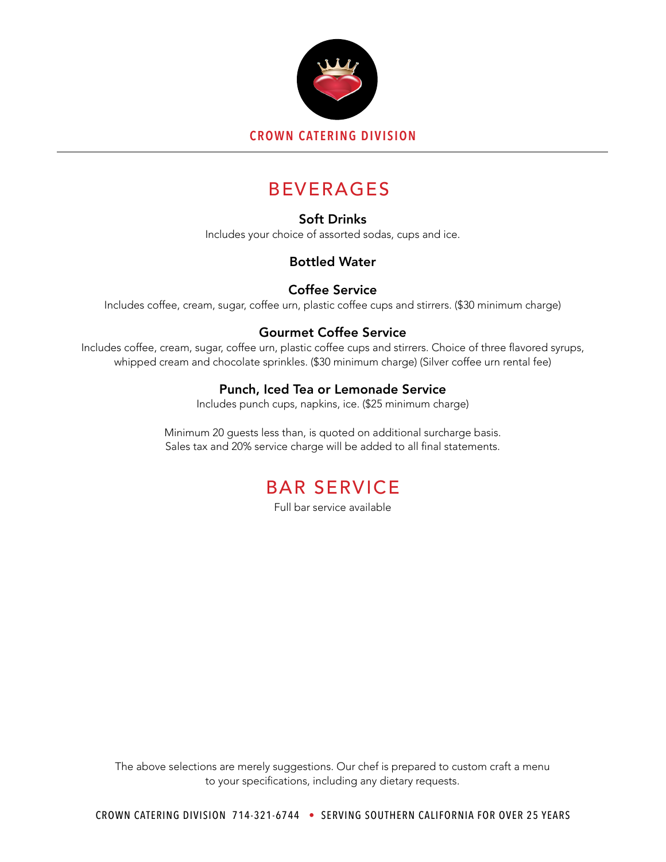

# BEVERAGES

# Soft Drinks

Includes your choice of assorted sodas, cups and ice.

# Bottled Water

# Coffee Service

Includes coffee, cream, sugar, coffee urn, plastic coffee cups and stirrers. (\$30 minimum charge)

# Gourmet Coffee Service

Includes coffee, cream, sugar, coffee urn, plastic coffee cups and stirrers. Choice of three flavored syrups, whipped cream and chocolate sprinkles. (\$30 minimum charge) (Silver coffee urn rental fee)

# Punch, Iced Tea or Lemonade Service

Includes punch cups, napkins, ice. (\$25 minimum charge)

Minimum 20 guests less than, is quoted on additional surcharge basis. Sales tax and 20% service charge will be added to all final statements.

# BAR SERVICE

Full bar service available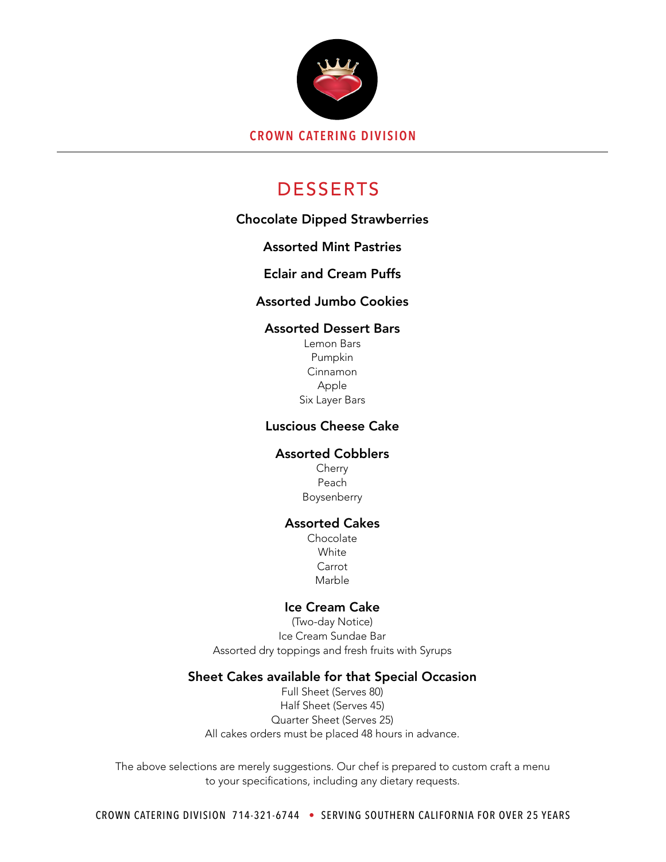

# DESSERTS

# Chocolate Dipped Strawberries

# Assorted Mint Pastries

# Eclair and Cream Puffs

# Assorted Jumbo Cookies

#### Assorted Dessert Bars

Lemon Bars Pumpkin Cinnamon Apple Six Layer Bars

### Luscious Cheese Cake

#### Assorted Cobblers

Cherry Peach Boysenberry

#### Assorted Cakes

Chocolate **White** Carrot Marble

#### Ice Cream Cake

(Two-day Notice) Ice Cream Sundae Bar Assorted dry toppings and fresh fruits with Syrups

#### Sheet Cakes available for that Special Occasion

Full Sheet (Serves 80) Half Sheet (Serves 45) Quarter Sheet (Serves 25) All cakes orders must be placed 48 hours in advance.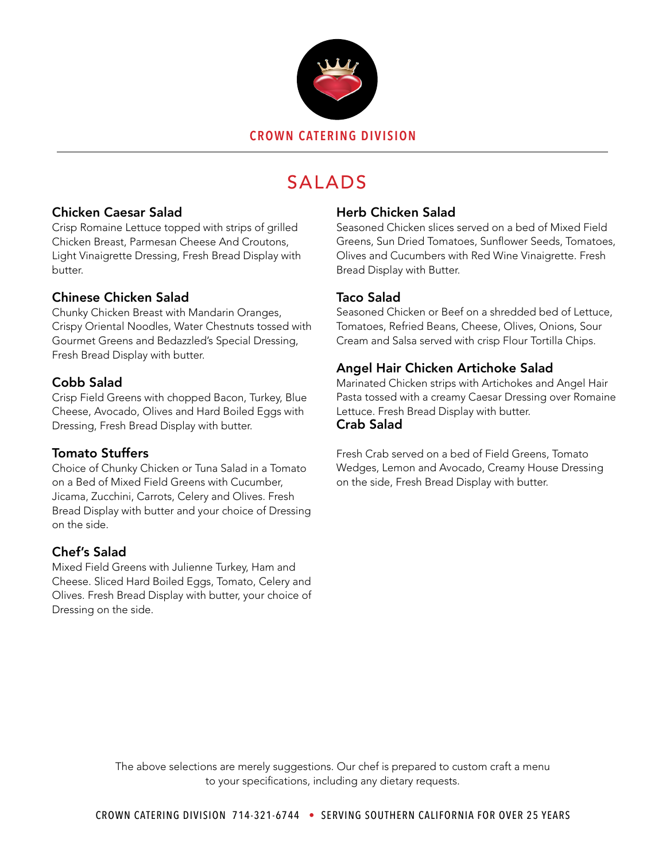

# SALADS

# Chicken Caesar Salad

Crisp Romaine Lettuce topped with strips of grilled Chicken Breast, Parmesan Cheese And Croutons, Light Vinaigrette Dressing, Fresh Bread Display with butter.

### Chinese Chicken Salad

Chunky Chicken Breast with Mandarin Oranges, Crispy Oriental Noodles, Water Chestnuts tossed with Gourmet Greens and Bedazzled's Special Dressing, Fresh Bread Display with butter.

# Cobb Salad

Crisp Field Greens with chopped Bacon, Turkey, Blue Cheese, Avocado, Olives and Hard Boiled Eggs with Dressing, Fresh Bread Display with butter.

# Tomato Stuffers

Choice of Chunky Chicken or Tuna Salad in a Tomato on a Bed of Mixed Field Greens with Cucumber, Jicama, Zucchini, Carrots, Celery and Olives. Fresh Bread Display with butter and your choice of Dressing on the side.

# Chef's Salad

Mixed Field Greens with Julienne Turkey, Ham and Cheese. Sliced Hard Boiled Eggs, Tomato, Celery and Olives. Fresh Bread Display with butter, your choice of Dressing on the side.

### Herb Chicken Salad

Seasoned Chicken slices served on a bed of Mixed Field Greens, Sun Dried Tomatoes, Sunflower Seeds, Tomatoes, Olives and Cucumbers with Red Wine Vinaigrette. Fresh Bread Display with Butter.

# Taco Salad

Seasoned Chicken or Beef on a shredded bed of Lettuce, Tomatoes, Refried Beans, Cheese, Olives, Onions, Sour Cream and Salsa served with crisp Flour Tortilla Chips.

# Angel Hair Chicken Artichoke Salad

Marinated Chicken strips with Artichokes and Angel Hair Pasta tossed with a creamy Caesar Dressing over Romaine Lettuce. Fresh Bread Display with butter. Crab Salad

Fresh Crab served on a bed of Field Greens, Tomato Wedges, Lemon and Avocado, Creamy House Dressing on the side, Fresh Bread Display with butter.